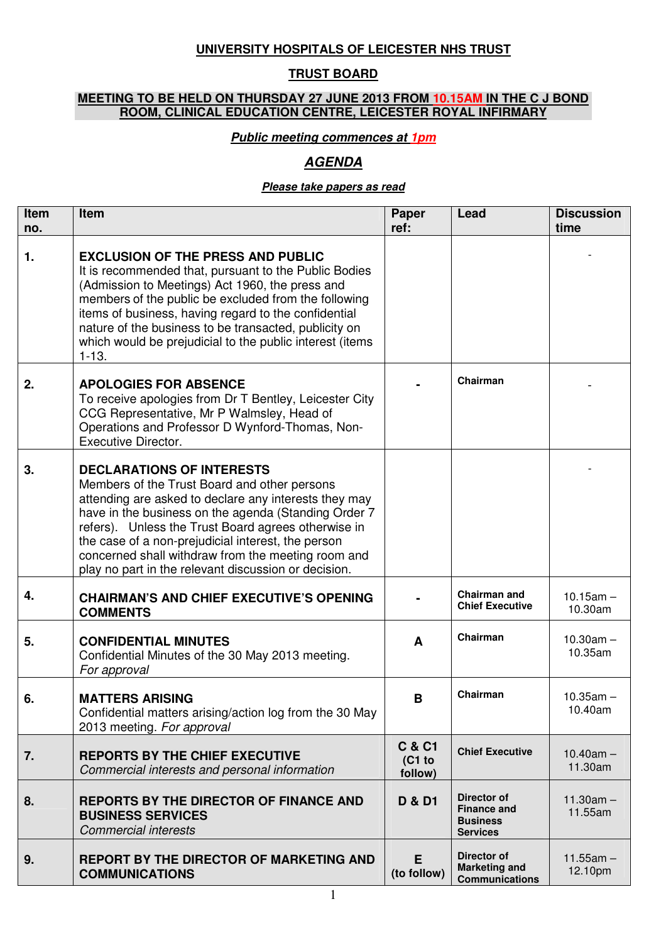## **UNIVERSITY HOSPITALS OF LEICESTER NHS TRUST**

## **TRUST BOARD**

## **MEETING TO BE HELD ON THURSDAY 27 JUNE 2013 FROM 10.15AM IN THE C J BOND ROOM, CLINICAL EDUCATION CENTRE, LEICESTER ROYAL INFIRMARY**

### **Public meeting commences at 1pm**

# **AGENDA**

#### **Please take papers as read**

| Item<br>no. | Item                                                                                                                                                                                                                                                                                                                                                                                                                         | Paper<br>ref:                          | Lead                                                                           | <b>Discussion</b><br>time |
|-------------|------------------------------------------------------------------------------------------------------------------------------------------------------------------------------------------------------------------------------------------------------------------------------------------------------------------------------------------------------------------------------------------------------------------------------|----------------------------------------|--------------------------------------------------------------------------------|---------------------------|
| 1.          | <b>EXCLUSION OF THE PRESS AND PUBLIC</b><br>It is recommended that, pursuant to the Public Bodies<br>(Admission to Meetings) Act 1960, the press and<br>members of the public be excluded from the following<br>items of business, having regard to the confidential<br>nature of the business to be transacted, publicity on<br>which would be prejudicial to the public interest (items<br>$1 - 13.$                       |                                        |                                                                                |                           |
| 2.          | <b>APOLOGIES FOR ABSENCE</b><br>To receive apologies from Dr T Bentley, Leicester City<br>CCG Representative, Mr P Walmsley, Head of<br>Operations and Professor D Wynford-Thomas, Non-<br><b>Executive Director.</b>                                                                                                                                                                                                        |                                        | Chairman                                                                       |                           |
| 3.          | <b>DECLARATIONS OF INTERESTS</b><br>Members of the Trust Board and other persons<br>attending are asked to declare any interests they may<br>have in the business on the agenda (Standing Order 7<br>refers). Unless the Trust Board agrees otherwise in<br>the case of a non-prejudicial interest, the person<br>concerned shall withdraw from the meeting room and<br>play no part in the relevant discussion or decision. |                                        |                                                                                |                           |
| 4.          | <b>CHAIRMAN'S AND CHIEF EXECUTIVE'S OPENING</b><br><b>COMMENTS</b>                                                                                                                                                                                                                                                                                                                                                           |                                        | <b>Chairman and</b><br><b>Chief Executive</b>                                  | $10.15$ am $-$<br>10.30am |
| 5.          | <b>CONFIDENTIAL MINUTES</b><br>Confidential Minutes of the 30 May 2013 meeting.<br>For approval                                                                                                                                                                                                                                                                                                                              | A                                      | Chairman                                                                       | $10.30am -$<br>10.35am    |
| 6.          | <b>MATTERS ARISING</b><br>Confidential matters arising/action log from the 30 May<br>2013 meeting. For approval                                                                                                                                                                                                                                                                                                              | B                                      | Chairman                                                                       | $10.35$ am $-$<br>10.40am |
| 7.          | <b>REPORTS BY THE CHIEF EXECUTIVE</b><br>Commercial interests and personal information                                                                                                                                                                                                                                                                                                                                       | <b>C &amp; C1</b><br>(C1 to<br>follow) | <b>Chief Executive</b>                                                         | $10.40am -$<br>11.30am    |
| 8.          | <b>REPORTS BY THE DIRECTOR OF FINANCE AND</b><br><b>BUSINESS SERVICES</b><br><b>Commercial interests</b>                                                                                                                                                                                                                                                                                                                     | <b>D &amp; D1</b>                      | <b>Director of</b><br><b>Finance and</b><br><b>Business</b><br><b>Services</b> | $11.30am -$<br>11.55am    |
| 9.          | <b>REPORT BY THE DIRECTOR OF MARKETING AND</b><br><b>COMMUNICATIONS</b>                                                                                                                                                                                                                                                                                                                                                      | E<br>(to follow)                       | Director of<br><b>Marketing and</b><br><b>Communications</b>                   | $11.55am -$<br>12.10pm    |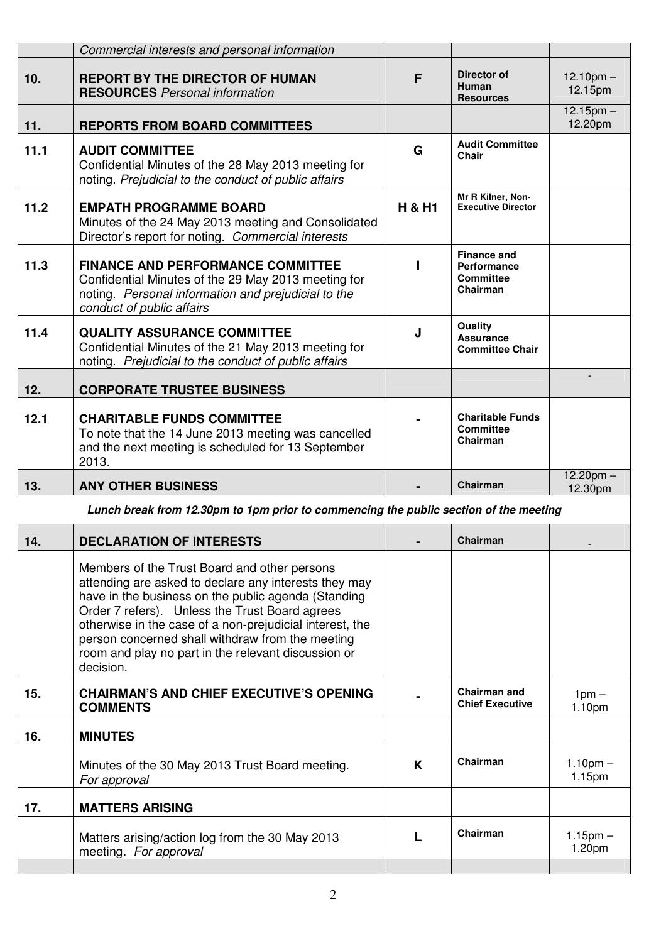|                                                                                       | Commercial interests and personal information                                                                                                                                                                                                                                                                                                                                                      |                   |                                                                   |                                  |
|---------------------------------------------------------------------------------------|----------------------------------------------------------------------------------------------------------------------------------------------------------------------------------------------------------------------------------------------------------------------------------------------------------------------------------------------------------------------------------------------------|-------------------|-------------------------------------------------------------------|----------------------------------|
| 10.                                                                                   | <b>REPORT BY THE DIRECTOR OF HUMAN</b><br><b>RESOURCES</b> Personal information                                                                                                                                                                                                                                                                                                                    | F                 | <b>Director of</b><br>Human<br><b>Resources</b>                   | $12.10$ pm $-$<br>12.15pm        |
| 11.                                                                                   | <b>REPORTS FROM BOARD COMMITTEES</b>                                                                                                                                                                                                                                                                                                                                                               |                   |                                                                   | $12.15$ pm $-$<br>12.20pm        |
| 11.1                                                                                  | <b>AUDIT COMMITTEE</b><br>Confidential Minutes of the 28 May 2013 meeting for<br>noting. Prejudicial to the conduct of public affairs                                                                                                                                                                                                                                                              | G                 | <b>Audit Committee</b><br>Chair                                   |                                  |
| 11.2                                                                                  | <b>EMPATH PROGRAMME BOARD</b><br>Minutes of the 24 May 2013 meeting and Consolidated<br>Director's report for noting. Commercial interests                                                                                                                                                                                                                                                         | <b>H &amp; H1</b> | Mr R Kilner, Non-<br><b>Executive Director</b>                    |                                  |
| 11.3                                                                                  | <b>FINANCE AND PERFORMANCE COMMITTEE</b><br>Confidential Minutes of the 29 May 2013 meeting for<br>noting. Personal information and prejudicial to the<br>conduct of public affairs                                                                                                                                                                                                                |                   | <b>Finance and</b><br>Performance<br><b>Committee</b><br>Chairman |                                  |
| 11.4                                                                                  | <b>QUALITY ASSURANCE COMMITTEE</b><br>Confidential Minutes of the 21 May 2013 meeting for<br>noting. Prejudicial to the conduct of public affairs                                                                                                                                                                                                                                                  | J                 | Quality<br><b>Assurance</b><br><b>Committee Chair</b>             |                                  |
| 12.                                                                                   | <b>CORPORATE TRUSTEE BUSINESS</b>                                                                                                                                                                                                                                                                                                                                                                  |                   |                                                                   |                                  |
| 12.1                                                                                  | <b>CHARITABLE FUNDS COMMITTEE</b><br>To note that the 14 June 2013 meeting was cancelled<br>and the next meeting is scheduled for 13 September<br>2013.                                                                                                                                                                                                                                            |                   | <b>Charitable Funds</b><br><b>Committee</b><br>Chairman           |                                  |
| 13.                                                                                   | <b>ANY OTHER BUSINESS</b>                                                                                                                                                                                                                                                                                                                                                                          |                   | Chairman                                                          | $12.20$ pm $-$<br>12.30pm        |
| Lunch break from 12.30pm to 1pm prior to commencing the public section of the meeting |                                                                                                                                                                                                                                                                                                                                                                                                    |                   |                                                                   |                                  |
| 14.                                                                                   | <b>DECLARATION OF INTERESTS</b>                                                                                                                                                                                                                                                                                                                                                                    |                   | Chairman                                                          |                                  |
|                                                                                       | Members of the Trust Board and other persons<br>attending are asked to declare any interests they may<br>have in the business on the public agenda (Standing<br>Order 7 refers). Unless the Trust Board agrees<br>otherwise in the case of a non-prejudicial interest, the<br>person concerned shall withdraw from the meeting<br>room and play no part in the relevant discussion or<br>decision. |                   |                                                                   |                                  |
| 15.                                                                                   | <b>CHAIRMAN'S AND CHIEF EXECUTIVE'S OPENING</b><br><b>COMMENTS</b>                                                                                                                                                                                                                                                                                                                                 |                   | <b>Chairman and</b><br><b>Chief Executive</b>                     | $1pm -$<br>1.10pm                |
| 16.                                                                                   | <b>MINUTES</b>                                                                                                                                                                                                                                                                                                                                                                                     |                   |                                                                   |                                  |
|                                                                                       | Minutes of the 30 May 2013 Trust Board meeting.<br>For approval                                                                                                                                                                                                                                                                                                                                    | K                 | Chairman                                                          | $1.10pm -$<br>1.15 <sub>pm</sub> |
| 17.                                                                                   | <b>MATTERS ARISING</b>                                                                                                                                                                                                                                                                                                                                                                             |                   |                                                                   |                                  |
|                                                                                       | Matters arising/action log from the 30 May 2013                                                                                                                                                                                                                                                                                                                                                    |                   | Chairman                                                          | $1.15$ pm $-$                    |
|                                                                                       | meeting. For approval                                                                                                                                                                                                                                                                                                                                                                              |                   |                                                                   | 1.20pm                           |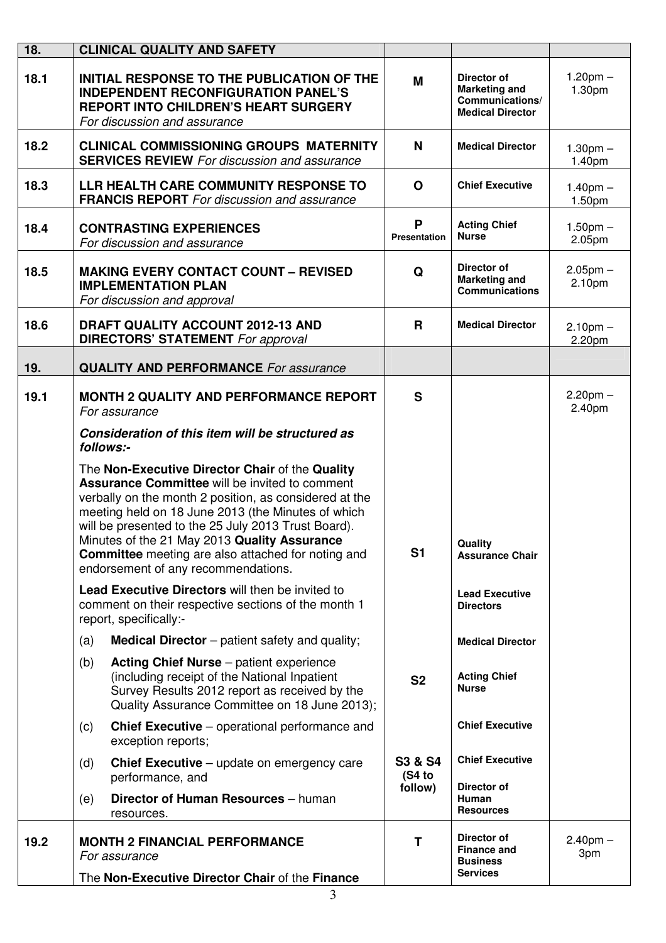| 18.  | <b>CLINICAL QUALITY AND SAFETY</b>                                                                                                                                                                                                                                                                                                                                                                                                  |                              |                                                                                          |                         |
|------|-------------------------------------------------------------------------------------------------------------------------------------------------------------------------------------------------------------------------------------------------------------------------------------------------------------------------------------------------------------------------------------------------------------------------------------|------------------------------|------------------------------------------------------------------------------------------|-------------------------|
| 18.1 | <b>INITIAL RESPONSE TO THE PUBLICATION OF THE</b><br><b>INDEPENDENT RECONFIGURATION PANEL'S</b><br><b>REPORT INTO CHILDREN'S HEART SURGERY</b><br>For discussion and assurance                                                                                                                                                                                                                                                      | M                            | <b>Director of</b><br><b>Marketing and</b><br>Communications/<br><b>Medical Director</b> | $1.20$ pm $-$<br>1.30pm |
| 18.2 | <b>CLINICAL COMMISSIONING GROUPS MATERNITY</b><br><b>SERVICES REVIEW</b> For discussion and assurance                                                                                                                                                                                                                                                                                                                               | N                            | <b>Medical Director</b>                                                                  | $1.30pm -$<br>1.40pm    |
| 18.3 | LLR HEALTH CARE COMMUNITY RESPONSE TO<br><b>FRANCIS REPORT</b> For discussion and assurance                                                                                                                                                                                                                                                                                                                                         | $\mathbf O$                  | <b>Chief Executive</b>                                                                   | $1.40$ pm $-$<br>1.50pm |
| 18.4 | <b>CONTRASTING EXPERIENCES</b><br>For discussion and assurance                                                                                                                                                                                                                                                                                                                                                                      | P<br><b>Presentation</b>     | <b>Acting Chief</b><br><b>Nurse</b>                                                      | $1.50$ pm $-$<br>2.05pm |
| 18.5 | <b>MAKING EVERY CONTACT COUNT - REVISED</b><br><b>IMPLEMENTATION PLAN</b><br>For discussion and approval                                                                                                                                                                                                                                                                                                                            | Q                            | <b>Director of</b><br><b>Marketing and</b><br><b>Communications</b>                      | $2.05$ pm $-$<br>2.10pm |
| 18.6 | DRAFT QUALITY ACCOUNT 2012-13 AND<br><b>DIRECTORS' STATEMENT</b> For approval                                                                                                                                                                                                                                                                                                                                                       | $\mathbf{R}$                 | <b>Medical Director</b>                                                                  | $2.10pm -$<br>2.20pm    |
| 19.  | <b>QUALITY AND PERFORMANCE</b> For assurance                                                                                                                                                                                                                                                                                                                                                                                        |                              |                                                                                          |                         |
| 19.1 | <b>MONTH 2 QUALITY AND PERFORMANCE REPORT</b><br>For assurance                                                                                                                                                                                                                                                                                                                                                                      | $\mathbf{s}$                 |                                                                                          | $2.20$ pm $-$<br>2.40pm |
|      | Consideration of this item will be structured as<br>follows:-                                                                                                                                                                                                                                                                                                                                                                       |                              |                                                                                          |                         |
|      | The Non-Executive Director Chair of the Quality<br><b>Assurance Committee will be invited to comment</b><br>verbally on the month 2 position, as considered at the<br>meeting held on 18 June 2013 (the Minutes of which<br>will be presented to the 25 July 2013 Trust Board).<br>Minutes of the 21 May 2013 Quality Assurance<br><b>Committee</b> meeting are also attached for noting and<br>endorsement of any recommendations. | S <sub>1</sub>               | Quality<br><b>Assurance Chair</b>                                                        |                         |
|      | <b>Lead Executive Directors will then be invited to</b><br>comment on their respective sections of the month 1<br>report, specifically:-                                                                                                                                                                                                                                                                                            |                              | <b>Lead Executive</b><br><b>Directors</b>                                                |                         |
|      | <b>Medical Director</b> – patient safety and quality;<br>(a)                                                                                                                                                                                                                                                                                                                                                                        |                              | <b>Medical Director</b>                                                                  |                         |
|      | <b>Acting Chief Nurse</b> – patient experience<br>(b)<br>(including receipt of the National Inpatient<br>Survey Results 2012 report as received by the<br>Quality Assurance Committee on 18 June 2013);                                                                                                                                                                                                                             | <b>S2</b>                    | <b>Acting Chief</b><br><b>Nurse</b>                                                      |                         |
|      | <b>Chief Executive</b> – operational performance and<br>(c)<br>exception reports;                                                                                                                                                                                                                                                                                                                                                   |                              | <b>Chief Executive</b>                                                                   |                         |
|      | <b>Chief Executive</b> – update on emergency care<br>(d)<br>performance, and                                                                                                                                                                                                                                                                                                                                                        | S3 & S4<br>(S4 to<br>follow) | <b>Chief Executive</b><br><b>Director of</b>                                             |                         |
|      | Director of Human Resources - human<br>(e)<br>resources.                                                                                                                                                                                                                                                                                                                                                                            |                              | Human<br><b>Resources</b>                                                                |                         |
| 19.2 | <b>MONTH 2 FINANCIAL PERFORMANCE</b><br>For assurance<br>The Non-Executive Director Chair of the Finance                                                                                                                                                                                                                                                                                                                            | T                            | Director of<br><b>Finance and</b><br><b>Business</b><br><b>Services</b>                  | $2.40$ pm $-$<br>3pm    |
|      | 3                                                                                                                                                                                                                                                                                                                                                                                                                                   |                              |                                                                                          |                         |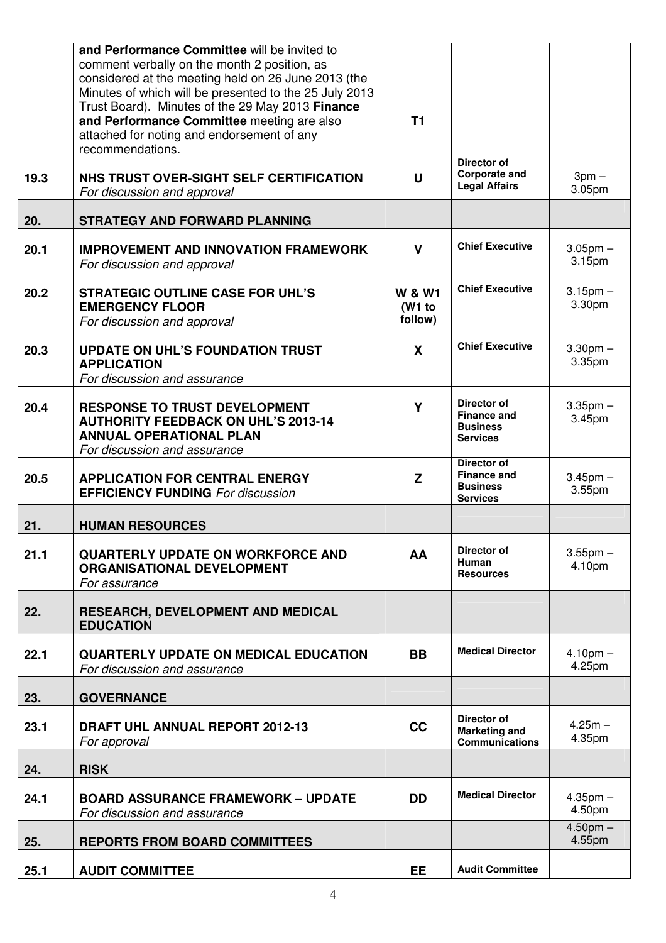|      | and Performance Committee will be invited to<br>comment verbally on the month 2 position, as<br>considered at the meeting held on 26 June 2013 (the<br>Minutes of which will be presented to the 25 July 2013<br>Trust Board). Minutes of the 29 May 2013 Finance<br>and Performance Committee meeting are also<br>attached for noting and endorsement of any<br>recommendations. | T <sub>1</sub>                         |                                                                         |                         |
|------|-----------------------------------------------------------------------------------------------------------------------------------------------------------------------------------------------------------------------------------------------------------------------------------------------------------------------------------------------------------------------------------|----------------------------------------|-------------------------------------------------------------------------|-------------------------|
| 19.3 | NHS TRUST OVER-SIGHT SELF CERTIFICATION<br>For discussion and approval                                                                                                                                                                                                                                                                                                            | U                                      | Director of<br><b>Corporate and</b><br><b>Legal Affairs</b>             | $3pm -$<br>3.05pm       |
| 20.  | <b>STRATEGY AND FORWARD PLANNING</b>                                                                                                                                                                                                                                                                                                                                              |                                        |                                                                         |                         |
| 20.1 | <b>IMPROVEMENT AND INNOVATION FRAMEWORK</b><br>For discussion and approval                                                                                                                                                                                                                                                                                                        | $\mathbf{V}$                           | <b>Chief Executive</b>                                                  | $3.05$ pm $-$<br>3.15pm |
| 20.2 | <b>STRATEGIC OUTLINE CASE FOR UHL'S</b><br><b>EMERGENCY FLOOR</b><br>For discussion and approval                                                                                                                                                                                                                                                                                  | <b>W &amp; W1</b><br>(W1 to<br>follow) | <b>Chief Executive</b>                                                  | $3.15$ pm $-$<br>3.30pm |
| 20.3 | <b>UPDATE ON UHL'S FOUNDATION TRUST</b><br><b>APPLICATION</b><br>For discussion and assurance                                                                                                                                                                                                                                                                                     | X                                      | <b>Chief Executive</b>                                                  | $3.30pm$ -<br>3.35pm    |
| 20.4 | <b>RESPONSE TO TRUST DEVELOPMENT</b><br><b>AUTHORITY FEEDBACK ON UHL'S 2013-14</b><br><b>ANNUAL OPERATIONAL PLAN</b><br>For discussion and assurance                                                                                                                                                                                                                              | Y                                      | Director of<br><b>Finance and</b><br><b>Business</b><br><b>Services</b> | $3.35$ pm $-$<br>3.45pm |
| 20.5 | <b>APPLICATION FOR CENTRAL ENERGY</b><br><b>EFFICIENCY FUNDING For discussion</b>                                                                                                                                                                                                                                                                                                 | Z                                      | Director of<br><b>Finance and</b><br><b>Business</b><br><b>Services</b> | $3.45$ pm $-$<br>3.55pm |
| 21.  | <b>HUMAN RESOURCES</b>                                                                                                                                                                                                                                                                                                                                                            |                                        |                                                                         |                         |
| 21.1 | <b>QUARTERLY UPDATE ON WORKFORCE AND</b><br><b>ORGANISATIONAL DEVELOPMENT</b><br>For assurance                                                                                                                                                                                                                                                                                    | AA                                     | Director of<br>Human<br><b>Resources</b>                                | $3.55$ pm $-$<br>4.10pm |
| 22.  | <b>RESEARCH, DEVELOPMENT AND MEDICAL</b><br><b>EDUCATION</b>                                                                                                                                                                                                                                                                                                                      |                                        |                                                                         |                         |
| 22.1 | <b>QUARTERLY UPDATE ON MEDICAL EDUCATION</b><br>For discussion and assurance                                                                                                                                                                                                                                                                                                      | <b>BB</b>                              | <b>Medical Director</b>                                                 | $4.10pm -$<br>4.25pm    |
| 23.  | <b>GOVERNANCE</b>                                                                                                                                                                                                                                                                                                                                                                 |                                        |                                                                         |                         |
| 23.1 | DRAFT UHL ANNUAL REPORT 2012-13<br>For approval                                                                                                                                                                                                                                                                                                                                   | cc                                     | Director of<br><b>Marketing and</b><br><b>Communications</b>            | $4.25m -$<br>4.35pm     |
| 24.  | <b>RISK</b>                                                                                                                                                                                                                                                                                                                                                                       |                                        |                                                                         |                         |
| 24.1 | <b>BOARD ASSURANCE FRAMEWORK - UPDATE</b><br>For discussion and assurance                                                                                                                                                                                                                                                                                                         | <b>DD</b>                              | <b>Medical Director</b>                                                 | $4.35$ pm $-$<br>4.50pm |
| 25.  | <b>REPORTS FROM BOARD COMMITTEES</b>                                                                                                                                                                                                                                                                                                                                              |                                        |                                                                         | $4.50pm$ -<br>4.55pm    |
| 25.1 | <b>AUDIT COMMITTEE</b>                                                                                                                                                                                                                                                                                                                                                            | <b>EE</b>                              | <b>Audit Committee</b>                                                  |                         |